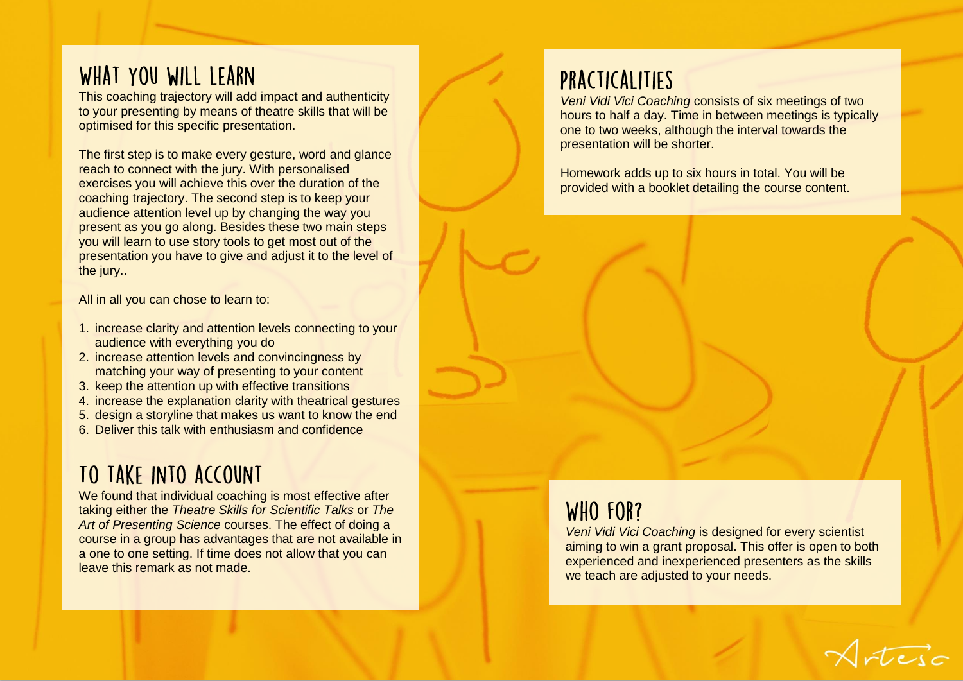## WHAT YOU WILL LEARN

This coaching trajectory will add impact and authenticity to your presenting by means of theatre skills that will be optimised for this specific presentation.

The first step is to make every gesture, word and glance reach to connect with the jury. With personalised exercises you will achieve this over the duration of the coaching trajectory. The second step is to keep your audience attention level up by changing the way you present as you go along. Besides these two main steps you will learn to use story tools to get most out of the presentation you have to give and adjust it to the level of the jury..

All in all you can chose to learn to:

- 1. increase clarity and attention levels connecting to your audience with everything you do
- 2. increase attention levels and convincingness by matching your way of presenting to your content
- 3. keep the attention up with effective transitions
- 4. increase the explanation clarity with theatrical gestures
- 5. design a storyline that makes us want to know the end
- 6. Deliver this talk with enthusiasm and confidence

# TO TAKE INTO ACCOUNT

We found that individual coaching is most effective after taking either the *Theatre Skills for Scientific Talks* or *The Art of Presenting Science* courses. The effect of doing a course in a group has advantages that are not available in a one to one setting. If time does not allow that you can leave this remark as not made.

# PRACTICALITIES

*Veni Vidi Vici Coaching* consists of six meetings of two hours to half a day. Time in between meetings is typically one to two weeks, although the interval towards the presentation will be shorter.

Homework adds up to six hours in total. You will be provided with a booklet detailing the course content.

### WHO FOR?

*Veni Vidi Vici Coaching* is designed for every scientist aiming to win a grant proposal. This offer is open to both experienced and inexperienced presenters as the skills we teach are adjusted to your needs.